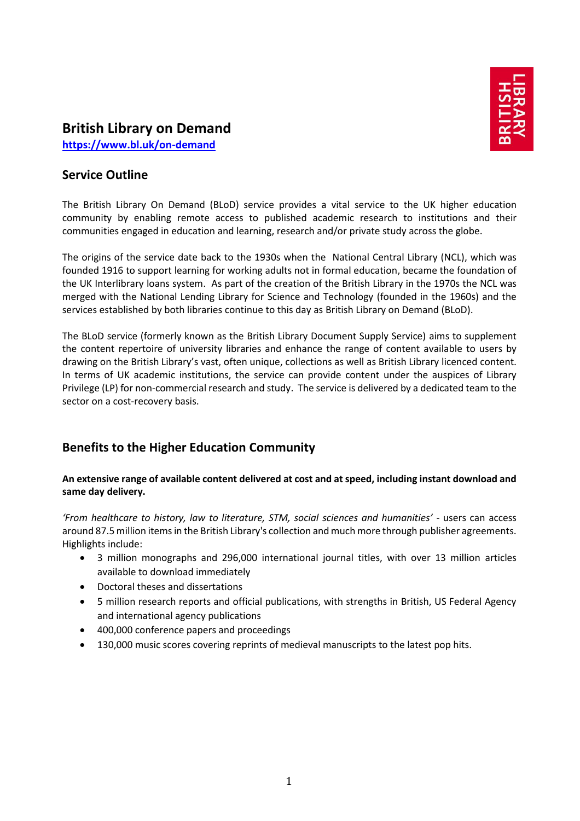

# **British Library on Demand**

**<https://www.bl.uk/on-demand>**

### **Service Outline**

The British Library On Demand (BLoD) service provides a vital service to the UK higher education community by enabling remote access to published academic research to institutions and their communities engaged in education and learning, research and/or private study across the globe.

The origins of the service date back to the 1930s when the National Central Library (NCL), which was founded 1916 to support learning for working adults not in formal education, became the foundation of the UK Interlibrary loans system. As part of the creation of the British Library in the 1970s the NCL was merged with the National Lending Library for Science and Technology (founded in the 1960s) and the services established by both libraries continue to this day as British Library on Demand (BLoD).

The BLoD service (formerly known as the British Library Document Supply Service) aims to supplement the content repertoire of university libraries and enhance the range of content available to users by drawing on the British Library's vast, often unique, collections as well as British Library licenced content. In terms of UK academic institutions, the service can provide content under the auspices of Library Privilege (LP) for non-commercial research and study. The service is delivered by a dedicated team to the sector on a cost-recovery basis.

# **Benefits to the Higher Education Community**

#### **An extensive range of available content delivered at cost and at speed, including instant download and same day delivery.**

*'From healthcare to history, law to literature, STM, social sciences and humanities'* - users can access around 87.5 million items in the British Library's collection and much more through publisher agreements. Highlights include:

- 3 million monographs and 296,000 international journal titles, with over 13 million articles available to download immediately
- Doctoral theses and dissertations
- 5 million research reports and official publications, with strengths in British, US Federal Agency and international agency publications
- 400,000 conference papers and proceedings
- 130,000 music scores covering reprints of medieval manuscripts to the latest pop hits.